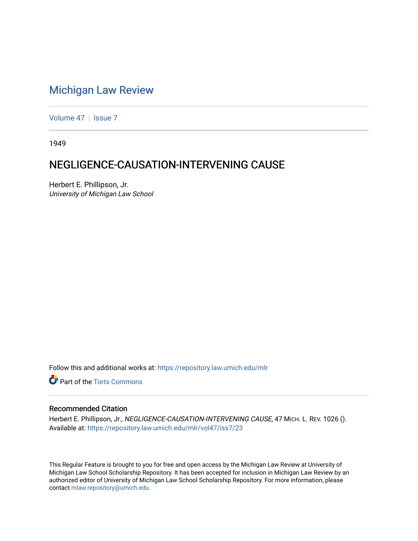## [Michigan Law Review](https://repository.law.umich.edu/mlr)

[Volume 47](https://repository.law.umich.edu/mlr/vol47) | [Issue 7](https://repository.law.umich.edu/mlr/vol47/iss7)

1949

## NEGLIGENCE-CAUSATION-INTERVENING CAUSE

Herbert E. Phillipson, Jr. University of Michigan Law School

Follow this and additional works at: [https://repository.law.umich.edu/mlr](https://repository.law.umich.edu/mlr?utm_source=repository.law.umich.edu%2Fmlr%2Fvol47%2Fiss7%2F23&utm_medium=PDF&utm_campaign=PDFCoverPages) 

**Part of the [Torts Commons](http://network.bepress.com/hgg/discipline/913?utm_source=repository.law.umich.edu%2Fmlr%2Fvol47%2Fiss7%2F23&utm_medium=PDF&utm_campaign=PDFCoverPages)** 

## Recommended Citation

Herbert E. Phillipson, Jr., NEGLIGENCE-CAUSATION-INTERVENING CAUSE, 47 MICH. L. REV. 1026 (). Available at: [https://repository.law.umich.edu/mlr/vol47/iss7/23](https://repository.law.umich.edu/mlr/vol47/iss7/23?utm_source=repository.law.umich.edu%2Fmlr%2Fvol47%2Fiss7%2F23&utm_medium=PDF&utm_campaign=PDFCoverPages) 

This Regular Feature is brought to you for free and open access by the Michigan Law Review at University of Michigan Law School Scholarship Repository. It has been accepted for inclusion in Michigan Law Review by an authorized editor of University of Michigan Law School Scholarship Repository. For more information, please contact [mlaw.repository@umich.edu](mailto:mlaw.repository@umich.edu).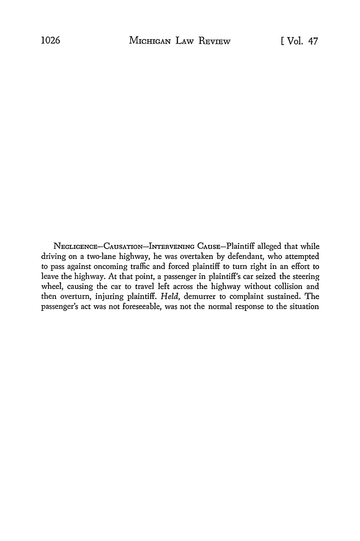NEGLIGENCE-CAUSATION-INTERVENING CAUSE-Plaintiff alleged that while driving on a two-lane highway, he was overtaken by defendant, who attempted to pass against oncoming traffic and forced plaintiff to tum right in an effort to leave the highway. At that point, a passenger in plaintiff's car seized the steering wheel, causing the car to travel left across the highway without collision and then overturn, injuring plaintiff. *Held,* demurrer to complaint sustained. The passenger's act was not foreseeable, was not the normal response to the situation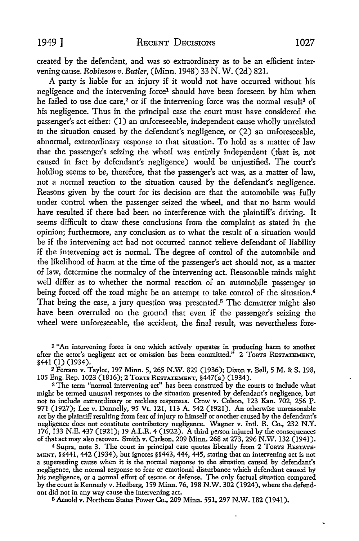created by the defendant, and was so extraordinary as to be an efficient intervening cause. *Robinsonv. Butler,* (Minn. 1948) 33 N. W. (2d) 821.

A party is liable for an injury if it would not have occurred without his negligence and the intervening force<sup>1</sup> should have been foreseen by him when he failed to use due care,<sup>2</sup> or if the intervening force was the normal result<sup>3</sup> of his negligence. Thus in the principal case the court must have considered the passenger's act either: (I) an unforeseeable, independent cause wholly unrelated to the situation caused by the defendant's negligence, or (2) an unforeseeable, abnormal, extraordinary response to that situation. To hold as a matter of law that the passenger's seizing the wheel was entirely independent (that is, not caused in fact by defendant's negligence) would be unjustified. The court's holding seems to be, therefore, that the passenger's act was, as a matter of law, not a normal reaction to the situation caused by the defendant's negligence. Reasons given by the court for its decision are that the automobile was fully under control when the passenger seized the wheel, and that no harm would have resulted if there had been no interference with the plaintiff's driving. It seems difficult to draw these conclusions from the complaint as stated in the opinion; furthermore, any conclusion as to what the result of a situation would be if the intervening act had not occurred cannot relieve defendant of liability if the intervening act is normal. The degree of control of the automobile and the likelihood of harm at the time of the passenger's act should not, as a matter of law, determine the normalcy of the intervening act. Reasonable minds might well differ as to whether the normal reaction of an automobile passenger to being forced off the road might be an attempt to take control of the situation.<sup>4</sup> That being the case, a jury question was presented.<sup>5</sup> The demurrer might also have been overruled on the ground that even if the passenger's seizing the wheel were unforeseeable, the accident, the final result, was nevertheless fore-

l "An intervening force is one which actively operates in producing harm to another after the actor's negligent act or omission has been committed.<sup> $n$ </sup> 2 ToRTS RESTATEMENT, §441 (I) (1934).

<sup>2</sup>Ferraro v. Taylor, 197 Minn. 5, 265 N.W. 829 (1936); Dixon v. Bell, 5 M. & S. 198, 105 Eng. Rep. 1023 (1816); 2 ToRTs RESTATEMENT, §447(a) (1934).

<sup>3</sup>The term "normal intervening act" has been construed by the courts to include what might be termed unusual responses to the situation presented by defendant's negligence, but not to include extraordinary or reckless responses. Crow v. Colson, 123 Kan. 702, 256 P. 971 (1927); Lee v. Donnelly, 95 Vt. 121, 113 A. 542 (1921). An otherwise unreasonable act by the plaintiff resulting from fear of injury to himself or another caused by the defendant's negligence does not constitute contributory negligence. Wagner v. Intl. R. Co., 232 N.Y. 176, 133 N.E. 437 (1921); 19 A.L.R. 4 (1922). A third person injured by the consequences of that act may also recover. Smith v. Carlson, 209 Minn. 268 at 273, 296 N .W. 132 (1941 ).

<sup>4</sup> Supra, note 3. The court in principal case quotes liberally from 2 ToRTS RESTATE-MENT,  $\S$ §441, 442 (1934), but ignores  $\S$ §443, 444, 445, stating that an intervening act is not a superseding cause when it is the normal response to the situation caused by defendant's negligence, the normal response to fear or emotional disturbance which defendant caused by his negligence, or a normal effort of rescue or defense. The only factual situation compared by the court is Kennedy v. Hedberg, 159 Minn. 76, 198 **N.W.** 302 (1924), where the defendant did not in any way cause the intervening act.

0 Arnold v. Northern States Power Co., 209 Minn. 551, 297 N.W. 182 (1941).